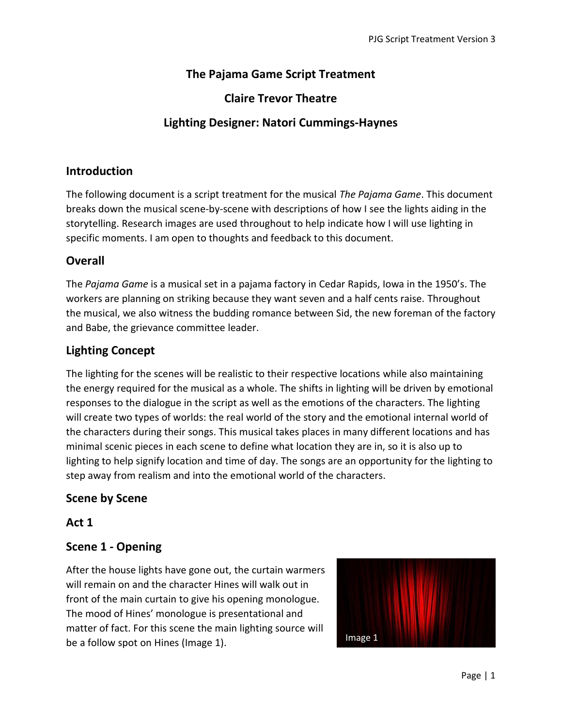# **The Pajama Game Script Treatment**

# **Claire Trevor Theatre**

# **Lighting Designer: Natori Cummings-Haynes**

#### **Introduction**

The following document is a script treatment for the musical *The Pajama Game*. This document breaks down the musical scene-by-scene with descriptions of how I see the lights aiding in the storytelling. Research images are used throughout to help indicate how I will use lighting in specific moments. I am open to thoughts and feedback to this document.

#### **Overall**

The *Pajama Game* is a musical set in a pajama factory in Cedar Rapids, Iowa in the 1950's. The workers are planning on striking because they want seven and a half cents raise. Throughout the musical, we also witness the budding romance between Sid, the new foreman of the factory and Babe, the grievance committee leader.

## **Lighting Concept**

The lighting for the scenes will be realistic to their respective locations while also maintaining the energy required for the musical as a whole. The shifts in lighting will be driven by emotional responses to the dialogue in the script as well as the emotions of the characters. The lighting will create two types of worlds: the real world of the story and the emotional internal world of the characters during their songs. This musical takes places in many different locations and has minimal scenic pieces in each scene to define what location they are in, so it is also up to lighting to help signify location and time of day. The songs are an opportunity for the lighting to step away from realism and into the emotional world of the characters.

#### **Scene by Scene**

#### **Act 1**

#### **Scene 1 - Opening**

After the house lights have gone out, the curtain warmers will remain on and the character Hines will walk out in front of the main curtain to give his opening monologue. The mood of Hines' monologue is presentational and matter of fact. For this scene the main lighting source will be a follow spot on Hines (Image 1).

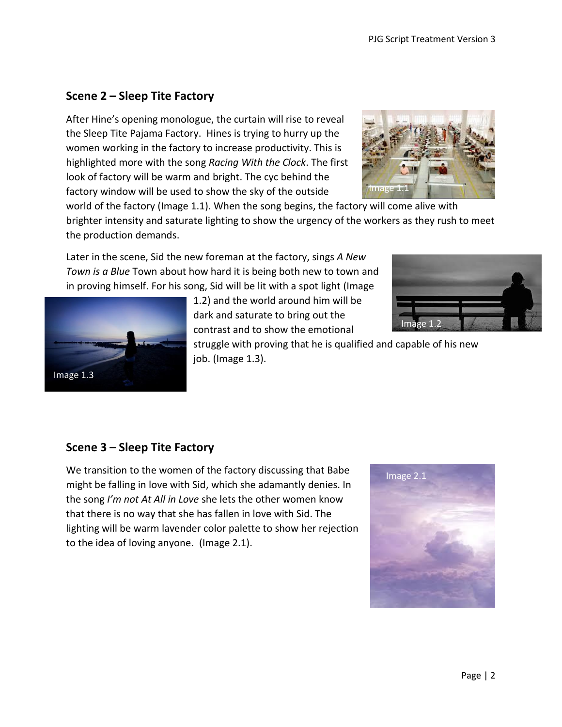Page | 2

# **Scene 2 – Sleep Tite Factory**

After Hine's opening monologue, the curtain will rise to reveal the Sleep Tite Pajama Factory. Hines is trying to hurry up the women working in the factory to increase productivity. This is highlighted more with the song *Racing With the Clock*. The first look of factory will be warm and bright. The cyc behind the factory window will be used to show the sky of the outside

world of the factory (Image 1.1). When the song begins, the factory will come alive with brighter intensity and saturate lighting to show the urgency of the workers as they rush to meet the production demands.

Later in the scene, Sid the new foreman at the factory, sings *A New Town is a Blue* Town about how hard it is being both new to town and in proving himself. For his song, Sid will be lit with a spot light (Image

> 1.2) and the world around him will be dark and saturate to bring out the contrast and to show the emotional

struggle with proving that he is qualified and capable of his new job. (Image 1.3).

/**I**mage 1

# **Scene 3 – Sleep Tite Factory**

Image 1.3

We transition to the women of the factory discussing that Babe might be falling in love with Sid, which she adamantly denies. In the song *I'm not At All in Love* she lets the other women know that there is no way that she has fallen in love with Sid. The lighting will be warm lavender color palette to show her rejection to the idea of loving anyone. (Image 2.1).



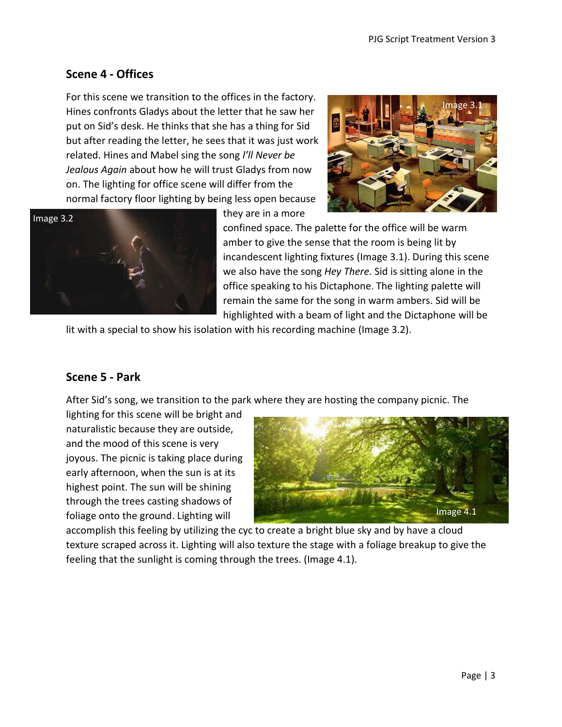# **Scene 4 - Offices**

For this scene we transition to the offices in the factory. Hines confronts Gladys about the letter that he saw her put on Sid's desk. He thinks that she has a thing for Sid but after reading the letter, he sees that it was just work related. Hines and Mabel sing the song *l'll Never be Jealous Again* about how he will trust Gladys from now on. The lighting for office scene will differ from the normal factory floor lighting by being less open because





they are in a more

confined space. The palette for the office will be warm amber to give the sense that the room is being lit by incandescent lighting fixtures (Image 3.1). During this scene we also have the song *Hey There.* Sid is sitting alone in the office speaking to his Dictaphone. The lighting palette will remain the same for the song in warm ambers. Sid will be highlighted with a beam of light and the Dictaphone will be

lit with a special to show his isolation with his recording machine (Image 3.2).

## **Scene 5 - Park**

After Sid's song, we transition to the park where they are hosting the company picnic. The

lighting for this scene will be bright and naturalistic because they are outside, and the mood of this scene is very joyous. The picnic is taking place during early afternoon, when the sun is at its highest point. The sun will be shining through the trees casting shadows of foliage onto the ground. Lighting will



accomplish this feeling by utilizing the cyc to create a bright blue sky and by have a cloud texture scraped across it. Lighting will also texture the stage with a foliage breakup to give the feeling that the sunlight is coming through the trees. (Image 4.1).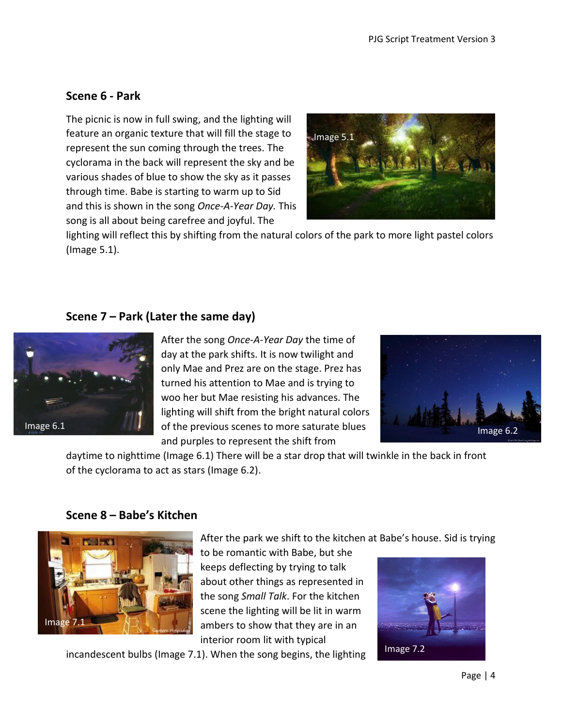# **Scene 6 - Park**

The picnic is now in full swing, and the lighting will feature an organic texture that will fill the stage to represent the sun coming through the trees. The cyclorama in the back will represent the sky and be various shades of blue to show the sky as it passes through time. Babe is starting to warm up to Sid and this is shown in the song *Once-A-Year Day.* This song is all about being carefree and joyful. The



lighting will reflect this by shifting from the natural colors of the park to more light pastel colors (Image 5.1).

## **Scene 7 – Park (Later the same day)**



After the song *Once-A-Year Day* the time of day at the park shifts. It is now twilight and only Mae and Prez are on the stage. Prez has turned his attention to Mae and is trying to woo her but Mae resisting his advances. The lighting will shift from the bright natural colors of the previous scenes to more saturate blues and purples to represent the shift from



daytime to nighttime (Image 6.1) There will be a star drop that will twinkle in the back in front of the cyclorama to act as stars (Image 6.2).

## **Scene 8 – Babe's Kitchen**



After the park we shift to the kitchen at Babe's house. Sid is trying

to be romantic with Babe, but she keeps deflecting by trying to talk about other things as represented in the song *Small Talk*. For the kitchen scene the lighting will be lit in warm ambers to show that they are in an interior room lit with typical

incandescent bulbs (Image 7.1). When the song begins, the lighting

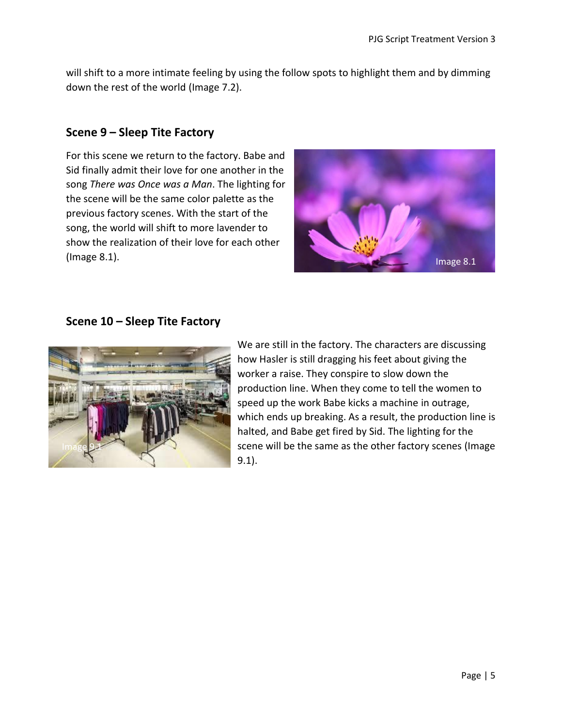will shift to a more intimate feeling by using the follow spots to highlight them and by dimming down the rest of the world (Image 7.2).

# **Scene 9 – Sleep Tite Factory**

For this scene we return to the factory. Babe and Sid finally admit their love for one another in the song *There was Once was a Man*. The lighting for the scene will be the same color palette as the previous factory scenes. With the start of the song, the world will shift to more lavender to show the realization of their love for each other (Image 8.1).



# **Scene 10 – Sleep Tite Factory**



We are still in the factory. The characters are discussing how Hasler is still dragging his feet about giving the worker a raise. They conspire to slow down the production line. When they come to tell the women to speed up the work Babe kicks a machine in outrage, which ends up breaking. As a result, the production line is halted, and Babe get fired by Sid. The lighting for the scene will be the same as the other factory scenes (Image 9.1).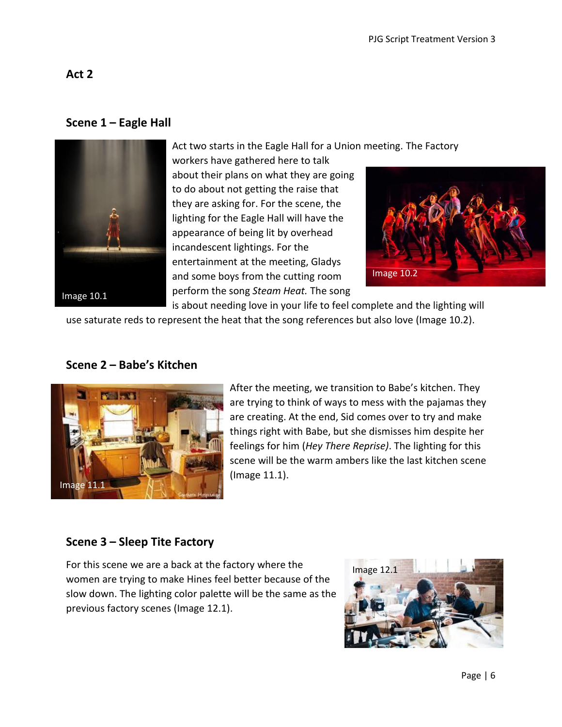#### **Scene 1 – Eagle Hall**



Act two starts in the Eagle Hall for a Union meeting. The Factory

workers have gathered here to talk about their plans on what they are going to do about not getting the raise that they are asking for. For the scene, the lighting for the Eagle Hall will have the appearance of being lit by overhead incandescent lightings. For the entertainment at the meeting, Gladys and some boys from the cutting room perform the song *Steam Heat.* The song



is about needing love in your life to feel complete and the lighting will use saturate reds to represent the heat that the song references but also love (Image 10.2).

# **Scene 2 – Babe's Kitchen**



After the meeting, we transition to Babe's kitchen. They are trying to think of ways to mess with the pajamas they are creating. At the end, Sid comes over to try and make things right with Babe, but she dismisses him despite her feelings for him (*Hey There Reprise)*. The lighting for this scene will be the warm ambers like the last kitchen scene (Image 11.1).

## **Scene 3 – Sleep Tite Factory**

For this scene we are a back at the factory where the women are trying to make Hines feel better because of the slow down. The lighting color palette will be the same as the previous factory scenes (Image 12.1).

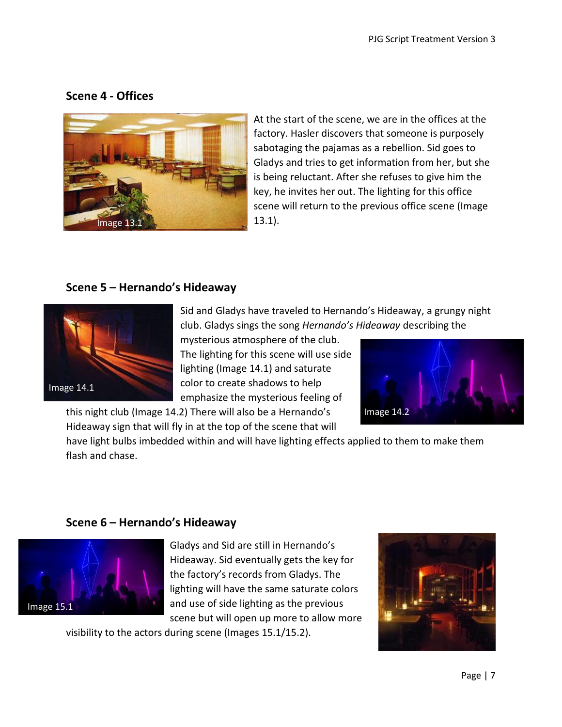#### **Scene 4 - Offices**



At the start of the scene, we are in the offices at the factory. Hasler discovers that someone is purposely sabotaging the pajamas as a rebellion. Sid goes to Gladys and tries to get information from her, but she is being reluctant. After she refuses to give him the key, he invites her out. The lighting for this office scene will return to the previous office scene (Image 13.1).

#### **Scene 5 – Hernando's Hideaway**



Sid and Gladys have traveled to Hernando's Hideaway, a grungy night club. Gladys sings the song *Hernando's Hideaway* describing the

mysterious atmosphere of the club. The lighting for this scene will use side lighting (Image 14.1) and saturate color to create shadows to help emphasize the mysterious feeling of

this night club (Image 14.2) There will also be a Hernando's Hideaway sign that will fly in at the top of the scene that will



have light bulbs imbedded within and will have lighting effects applied to them to make them flash and chase.

#### **Scene 6 – Hernando's Hideaway**



Gladys and Sid are still in Hernando's Hideaway. Sid eventually gets the key for the factory's records from Gladys. The lighting will have the same saturate colors and use of side lighting as the previous scene but will open up more to allow more

visibility to the actors during scene (Images 15.1/15.2).